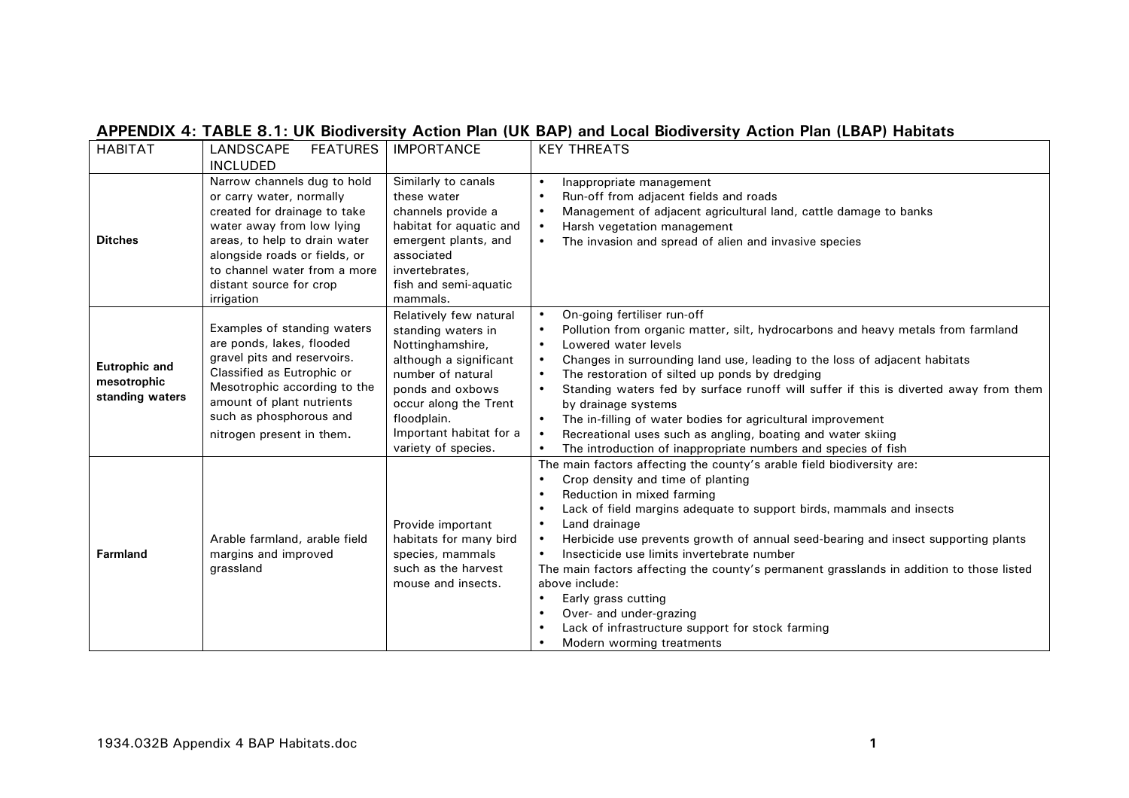| <b>HABITAT</b>                                  | <b>FEATURES</b><br>LANDSCAPE  | <b>IMPORTANCE</b>       | <b>KEY THREATS</b>                                                                                |
|-------------------------------------------------|-------------------------------|-------------------------|---------------------------------------------------------------------------------------------------|
|                                                 | <b>INCLUDED</b>               |                         |                                                                                                   |
| <b>Ditches</b>                                  | Narrow channels dug to hold   | Similarly to canals     | Inappropriate management<br>$\bullet$                                                             |
|                                                 | or carry water, normally      | these water             | Run-off from adjacent fields and roads                                                            |
|                                                 | created for drainage to take  | channels provide a      | Management of adjacent agricultural land, cattle damage to banks<br>$\bullet$                     |
|                                                 | water away from low lying     | habitat for aquatic and | Harsh vegetation management<br>$\bullet$                                                          |
|                                                 | areas, to help to drain water | emergent plants, and    | The invasion and spread of alien and invasive species<br>$\bullet$                                |
|                                                 | alongside roads or fields, or | associated              |                                                                                                   |
|                                                 | to channel water from a more  | invertebrates,          |                                                                                                   |
|                                                 | distant source for crop       | fish and semi-aquatic   |                                                                                                   |
|                                                 | irrigation                    | mammals.                |                                                                                                   |
|                                                 |                               | Relatively few natural  | On-going fertiliser run-off<br>$\bullet$                                                          |
|                                                 | Examples of standing waters   | standing waters in      | Pollution from organic matter, silt, hydrocarbons and heavy metals from farmland<br>$\bullet$     |
|                                                 | are ponds, lakes, flooded     | Nottinghamshire,        | Lowered water levels<br>$\bullet$                                                                 |
| Eutrophic and<br>mesotrophic<br>standing waters | gravel pits and reservoirs.   | although a significant  | Changes in surrounding land use, leading to the loss of adjacent habitats<br>$\bullet$            |
|                                                 | Classified as Eutrophic or    | number of natural       | The restoration of silted up ponds by dredging                                                    |
|                                                 | Mesotrophic according to the  | ponds and oxbows        | Standing waters fed by surface runoff will suffer if this is diverted away from them<br>$\bullet$ |
|                                                 | amount of plant nutrients     | occur along the Trent   | by drainage systems                                                                               |
|                                                 | such as phosphorous and       | floodplain.             | The in-filling of water bodies for agricultural improvement<br>$\bullet$                          |
|                                                 | nitrogen present in them.     | Important habitat for a | Recreational uses such as angling, boating and water skiing                                       |
|                                                 |                               | variety of species.     | The introduction of inappropriate numbers and species of fish                                     |
|                                                 |                               |                         | The main factors affecting the county's arable field biodiversity are:                            |
|                                                 |                               |                         | Crop density and time of planting<br>$\bullet$                                                    |
|                                                 |                               |                         | Reduction in mixed farming                                                                        |
| <b>Farmland</b>                                 |                               |                         | Lack of field margins adequate to support birds, mammals and insects                              |
|                                                 |                               | Provide important       | Land drainage<br>$\bullet$                                                                        |
|                                                 | Arable farmland, arable field | habitats for many bird  | Herbicide use prevents growth of annual seed-bearing and insect supporting plants<br>$\bullet$    |
|                                                 | margins and improved          | species, mammals        | Insecticide use limits invertebrate number<br>$\bullet$                                           |
|                                                 | grassland                     | such as the harvest     | The main factors affecting the county's permanent grasslands in addition to those listed          |
|                                                 |                               | mouse and insects.      | above include:                                                                                    |
|                                                 |                               |                         | Early grass cutting                                                                               |
|                                                 |                               |                         | Over- and under-grazing                                                                           |
|                                                 |                               |                         | Lack of infrastructure support for stock farming                                                  |
|                                                 |                               |                         | Modern worming treatments                                                                         |

## **APPENDIX 4: TABLE 8.1: UK Biodiversity Action Plan (UK BAP) and Local Biodiversity Action Plan (LBAP) Habitats**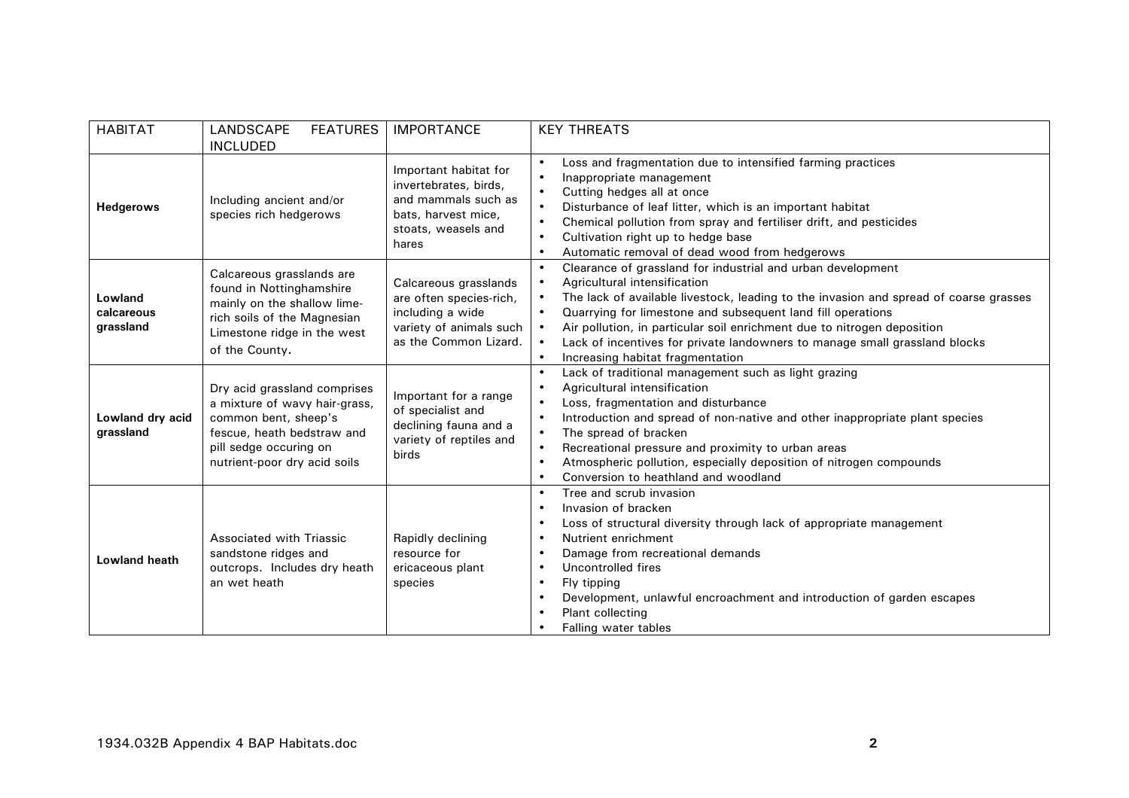| <b>HABITAT</b>                     | LANDSCAPE<br><b>FEATURES</b><br><b>INCLUDED</b>                                                                                                                               | <b>IMPORTANCE</b>                                                                                                            | <b>KEY THREATS</b>                                                                                                                                                                                                                                                                                                                                                                                                                                                                                                                          |
|------------------------------------|-------------------------------------------------------------------------------------------------------------------------------------------------------------------------------|------------------------------------------------------------------------------------------------------------------------------|---------------------------------------------------------------------------------------------------------------------------------------------------------------------------------------------------------------------------------------------------------------------------------------------------------------------------------------------------------------------------------------------------------------------------------------------------------------------------------------------------------------------------------------------|
| <b>Hedgerows</b>                   | Including ancient and/or<br>species rich hedgerows                                                                                                                            | Important habitat for<br>invertebrates, birds,<br>and mammals such as<br>bats, harvest mice,<br>stoats, weasels and<br>hares | Loss and fragmentation due to intensified farming practices<br>$\bullet$<br>Inappropriate management<br>$\bullet$<br>Cutting hedges all at once<br>$\bullet$<br>Disturbance of leaf litter, which is an important habitat<br>$\bullet$<br>Chemical pollution from spray and fertiliser drift, and pesticides<br>$\bullet$<br>Cultivation right up to hedge base<br>$\bullet$<br>Automatic removal of dead wood from hedgerows<br>$\bullet$                                                                                                  |
| Lowland<br>calcareous<br>grassland | Calcareous grasslands are<br>found in Nottinghamshire<br>mainly on the shallow lime-<br>rich soils of the Magnesian<br>Limestone ridge in the west<br>of the County.          | Calcareous grasslands<br>are often species-rich,<br>including a wide<br>variety of animals such<br>as the Common Lizard.     | Clearance of grassland for industrial and urban development<br>$\bullet$<br>Agricultural intensification<br>$\bullet$<br>The lack of available livestock, leading to the invasion and spread of coarse grasses<br>$\bullet$<br>Quarrying for limestone and subsequent land fill operations<br>$\bullet$<br>Air pollution, in particular soil enrichment due to nitrogen deposition<br>$\bullet$<br>Lack of incentives for private landowners to manage small grassland blocks<br>$\bullet$<br>Increasing habitat fragmentation<br>$\bullet$ |
| Lowland dry acid<br>grassland      | Dry acid grassland comprises<br>a mixture of wavy hair-grass,<br>common bent, sheep's<br>fescue, heath bedstraw and<br>pill sedge occuring on<br>nutrient-poor dry acid soils | Important for a range<br>of specialist and<br>declining fauna and a<br>variety of reptiles and<br>birds                      | Lack of traditional management such as light grazing<br>$\bullet$<br>Agricultural intensification<br>$\bullet$<br>Loss, fragmentation and disturbance<br>$\bullet$<br>Introduction and spread of non-native and other inappropriate plant species<br>$\bullet$<br>The spread of bracken<br>$\bullet$<br>Recreational pressure and proximity to urban areas<br>$\bullet$<br>Atmospheric pollution, especially deposition of nitrogen compounds<br>$\bullet$<br>Conversion to heathland and woodland<br>$\bullet$                             |
| Lowland heath                      | Associated with Triassic<br>sandstone ridges and<br>outcrops. Includes dry heath<br>an wet heath                                                                              | Rapidly declining<br>resource for<br>ericaceous plant<br>species                                                             | Tree and scrub invasion<br>$\bullet$<br>Invasion of bracken<br>٠<br>Loss of structural diversity through lack of appropriate management<br>$\bullet$<br>Nutrient enrichment<br>$\bullet$<br>Damage from recreational demands<br>$\bullet$<br>Uncontrolled fires<br>$\bullet$<br>Fly tipping<br>$\bullet$<br>Development, unlawful encroachment and introduction of garden escapes<br>٠<br>Plant collecting<br>$\bullet$<br>Falling water tables<br>$\bullet$                                                                                |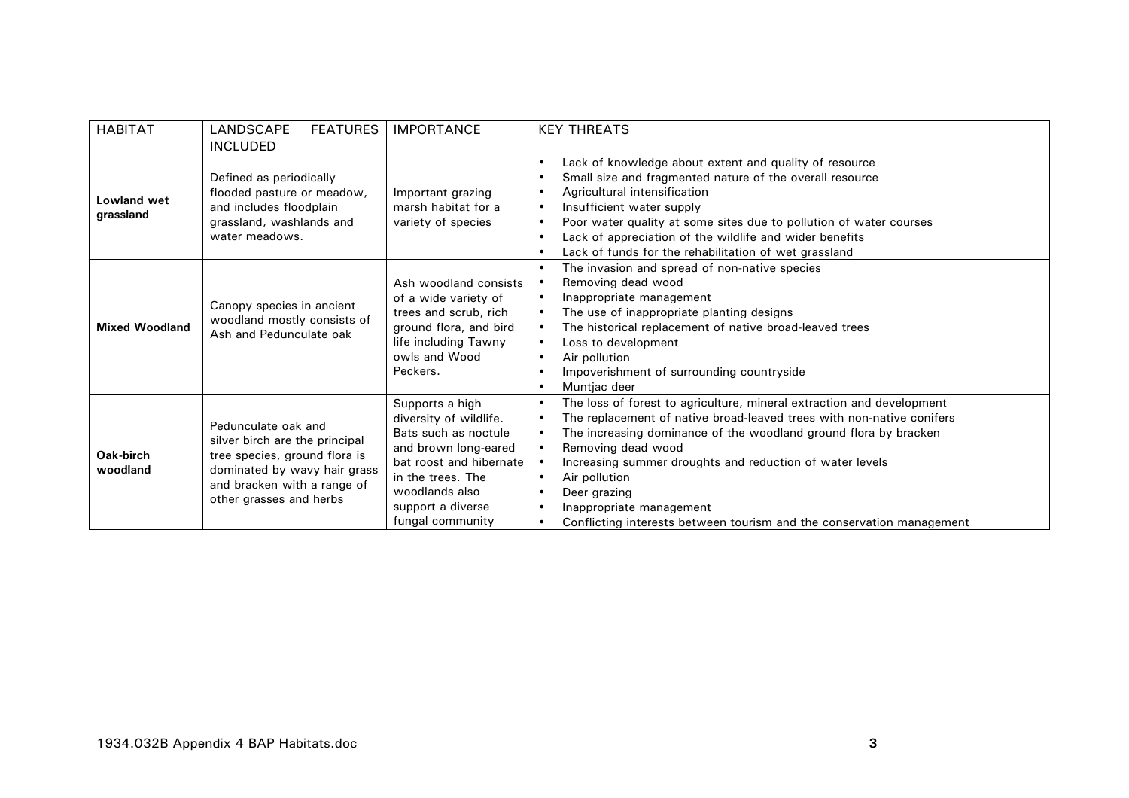| <b>HABITAT</b>           | LANDSCAPE<br><b>FEATURES</b>                                                                                                                                                     | <b>IMPORTANCE</b>                                                                                                                                                                                    | <b>KEY THREATS</b>                                                                                                                                                                                                                                                                                                                                                                                                                                                                             |
|--------------------------|----------------------------------------------------------------------------------------------------------------------------------------------------------------------------------|------------------------------------------------------------------------------------------------------------------------------------------------------------------------------------------------------|------------------------------------------------------------------------------------------------------------------------------------------------------------------------------------------------------------------------------------------------------------------------------------------------------------------------------------------------------------------------------------------------------------------------------------------------------------------------------------------------|
|                          | <b>INCLUDED</b>                                                                                                                                                                  |                                                                                                                                                                                                      |                                                                                                                                                                                                                                                                                                                                                                                                                                                                                                |
| Lowland wet<br>grassland | Defined as periodically<br>flooded pasture or meadow,<br>and includes floodplain<br>grassland, washlands and<br>water meadows.                                                   | Important grazing<br>marsh habitat for a<br>variety of species                                                                                                                                       | Lack of knowledge about extent and quality of resource<br>$\bullet$<br>Small size and fragmented nature of the overall resource<br>$\bullet$<br>Agricultural intensification<br>$\bullet$<br>Insufficient water supply<br>$\bullet$<br>Poor water quality at some sites due to pollution of water courses<br>$\bullet$<br>Lack of appreciation of the wildlife and wider benefits<br>$\bullet$<br>Lack of funds for the rehabilitation of wet grassland                                        |
| <b>Mixed Woodland</b>    | Canopy species in ancient<br>woodland mostly consists of<br>Ash and Pedunculate oak                                                                                              | Ash woodland consists<br>of a wide variety of<br>trees and scrub, rich<br>ground flora, and bird<br>life including Tawny<br>owls and Wood<br>Peckers.                                                | The invasion and spread of non-native species<br>Removing dead wood<br>Inappropriate management<br>The use of inappropriate planting designs<br>$\bullet$<br>The historical replacement of native broad-leaved trees<br>$\bullet$<br>Loss to development<br>$\bullet$<br>Air pollution<br>$\bullet$<br>Impoverishment of surrounding countryside<br>Muntjac deer                                                                                                                               |
| Oak-birch<br>woodland    | Pedunculate oak and<br>silver birch are the principal<br>tree species, ground flora is<br>dominated by wavy hair grass<br>and bracken with a range of<br>other grasses and herbs | Supports a high<br>diversity of wildlife.<br>Bats such as noctule<br>and brown long-eared<br>bat roost and hibernate<br>in the trees. The<br>woodlands also<br>support a diverse<br>fungal community | The loss of forest to agriculture, mineral extraction and development<br>$\bullet$<br>The replacement of native broad-leaved trees with non-native conifers<br>The increasing dominance of the woodland ground flora by bracken<br>Removing dead wood<br>Increasing summer droughts and reduction of water levels<br>Air pollution<br>$\bullet$<br>Deer grazing<br>$\bullet$<br>Inappropriate management<br>Conflicting interests between tourism and the conservation management<br>$\bullet$ |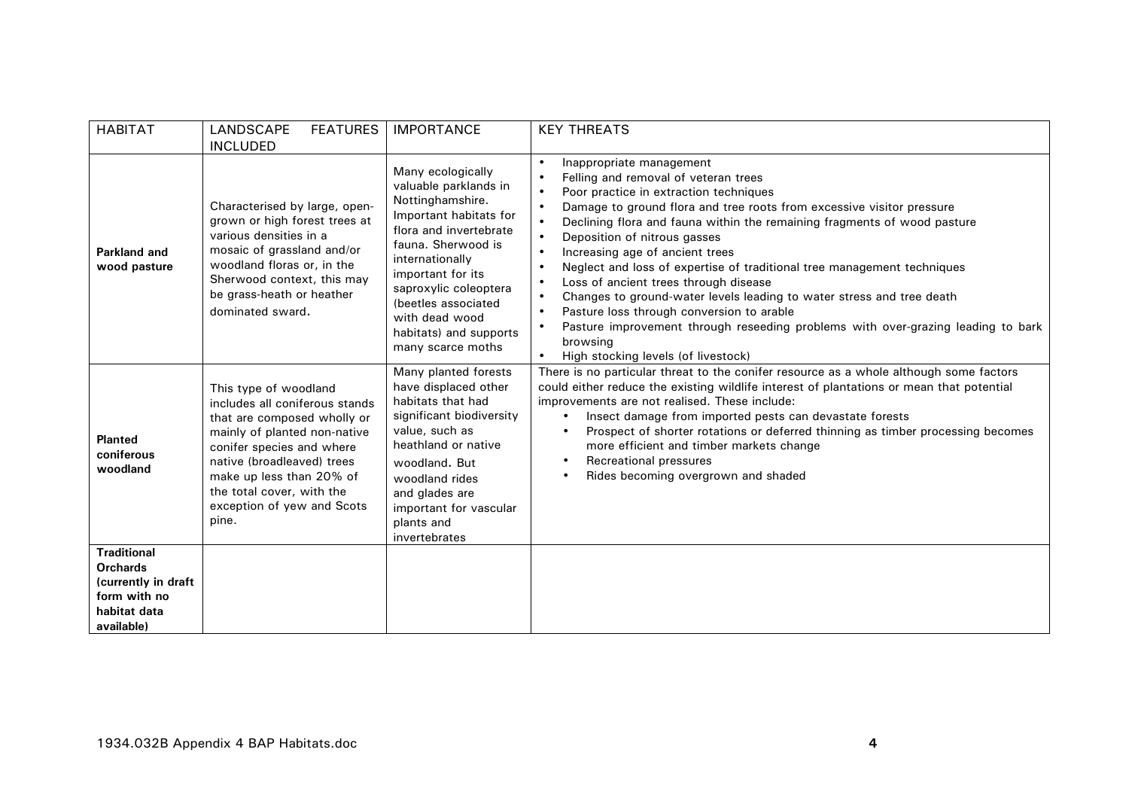| <b>HABITAT</b>                                                                                             | LANDSCAPE<br><b>FEATURES</b><br><b>INCLUDED</b>                                                                                                                                                                                                                                   | <b>IMPORTANCE</b>                                                                                                                                                                                                                                                                                 | <b>KEY THREATS</b>                                                                                                                                                                                                                                                                                                                                                                                                                                                                                                                                                                                                                                                                                                                                                                                                                       |
|------------------------------------------------------------------------------------------------------------|-----------------------------------------------------------------------------------------------------------------------------------------------------------------------------------------------------------------------------------------------------------------------------------|---------------------------------------------------------------------------------------------------------------------------------------------------------------------------------------------------------------------------------------------------------------------------------------------------|------------------------------------------------------------------------------------------------------------------------------------------------------------------------------------------------------------------------------------------------------------------------------------------------------------------------------------------------------------------------------------------------------------------------------------------------------------------------------------------------------------------------------------------------------------------------------------------------------------------------------------------------------------------------------------------------------------------------------------------------------------------------------------------------------------------------------------------|
| Parkland and<br>wood pasture                                                                               | Characterised by large, open-<br>grown or high forest trees at<br>various densities in a<br>mosaic of grassland and/or<br>woodland floras or, in the<br>Sherwood context, this may<br>be grass-heath or heather<br>dominated sward.                                               | Many ecologically<br>valuable parklands in<br>Nottinghamshire.<br>Important habitats for<br>flora and invertebrate<br>fauna. Sherwood is<br>internationally<br>important for its<br>saproxylic coleoptera<br>(beetles associated<br>with dead wood<br>habitats) and supports<br>many scarce moths | Inappropriate management<br>$\bullet$<br>Felling and removal of veteran trees<br>$\bullet$<br>Poor practice in extraction techniques<br>$\bullet$<br>Damage to ground flora and tree roots from excessive visitor pressure<br>$\bullet$<br>Declining flora and fauna within the remaining fragments of wood pasture<br>Deposition of nitrous gasses<br>Increasing age of ancient trees<br>$\bullet$<br>Neglect and loss of expertise of traditional tree management techniques<br>$\bullet$<br>Loss of ancient trees through disease<br>$\bullet$<br>Changes to ground-water levels leading to water stress and tree death<br>$\bullet$<br>Pasture loss through conversion to arable<br>$\bullet$<br>Pasture improvement through reseeding problems with over-grazing leading to bark<br>browsing<br>High stocking levels (of livestock) |
| <b>Planted</b><br>coniferous<br>woodland                                                                   | This type of woodland<br>includes all coniferous stands<br>that are composed wholly or<br>mainly of planted non-native<br>conifer species and where<br>native (broadleaved) trees<br>make up less than 20% of<br>the total cover, with the<br>exception of yew and Scots<br>pine. | Many planted forests<br>have displaced other<br>habitats that had<br>significant biodiversity<br>value, such as<br>heathland or native<br>woodland, But<br>woodland rides<br>and glades are<br>important for vascular<br>plants and<br>invertebrates                                              | There is no particular threat to the conifer resource as a whole although some factors<br>could either reduce the existing wildlife interest of plantations or mean that potential<br>improvements are not realised. These include:<br>Insect damage from imported pests can devastate forests<br>Prospect of shorter rotations or deferred thinning as timber processing becomes<br>more efficient and timber markets change<br>Recreational pressures<br>Rides becoming overgrown and shaded                                                                                                                                                                                                                                                                                                                                           |
| <b>Traditional</b><br><b>Orchards</b><br>(currently in draft<br>form with no<br>habitat data<br>available) |                                                                                                                                                                                                                                                                                   |                                                                                                                                                                                                                                                                                                   |                                                                                                                                                                                                                                                                                                                                                                                                                                                                                                                                                                                                                                                                                                                                                                                                                                          |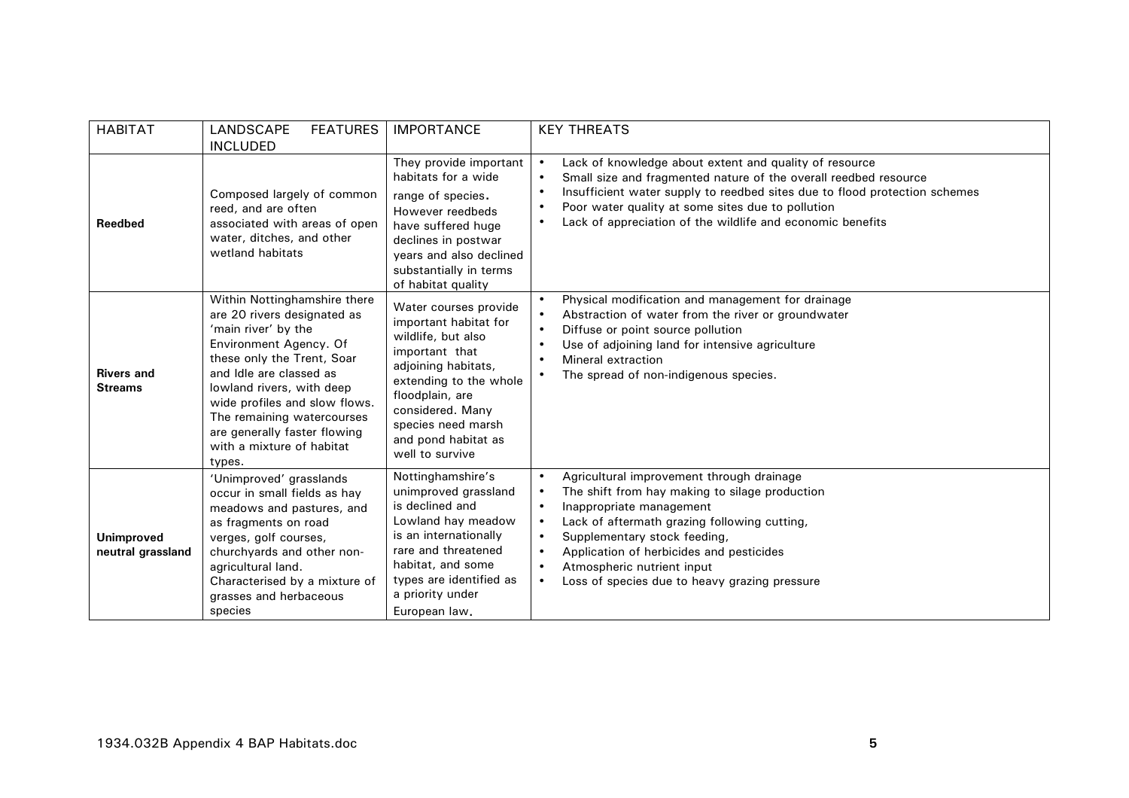| <b>HABITAT</b>                         | LANDSCAPE<br><b>FEATURES</b><br><b>INCLUDED</b>                                                                                                                                                                                                                                                                                          | <b>IMPORTANCE</b>                                                                                                                                                                                                                              | <b>KEY THREATS</b>                                                                                                                                                                                                                                                                                                                                                                                                                         |
|----------------------------------------|------------------------------------------------------------------------------------------------------------------------------------------------------------------------------------------------------------------------------------------------------------------------------------------------------------------------------------------|------------------------------------------------------------------------------------------------------------------------------------------------------------------------------------------------------------------------------------------------|--------------------------------------------------------------------------------------------------------------------------------------------------------------------------------------------------------------------------------------------------------------------------------------------------------------------------------------------------------------------------------------------------------------------------------------------|
| Reedbed                                | Composed largely of common<br>reed, and are often<br>associated with areas of open<br>water, ditches, and other<br>wetland habitats                                                                                                                                                                                                      | They provide important<br>habitats for a wide<br>range of species.<br>However reedbeds<br>have suffered huge<br>declines in postwar<br>years and also declined<br>substantially in terms<br>of habitat quality                                 | Lack of knowledge about extent and quality of resource<br>$\bullet$<br>Small size and fragmented nature of the overall reedbed resource<br>$\bullet$<br>Insufficient water supply to reedbed sites due to flood protection schemes<br>$\bullet$<br>Poor water quality at some sites due to pollution<br>$\bullet$<br>Lack of appreciation of the wildlife and economic benefits<br>$\bullet$                                               |
| <b>Rivers and</b><br><b>Streams</b>    | Within Nottinghamshire there<br>are 20 rivers designated as<br>'main river' by the<br>Environment Agency. Of<br>these only the Trent, Soar<br>and Idle are classed as<br>lowland rivers, with deep<br>wide profiles and slow flows.<br>The remaining watercourses<br>are generally faster flowing<br>with a mixture of habitat<br>types. | Water courses provide<br>important habitat for<br>wildlife, but also<br>important that<br>adjoining habitats,<br>extending to the whole<br>floodplain, are<br>considered. Many<br>species need marsh<br>and pond habitat as<br>well to survive | Physical modification and management for drainage<br>$\bullet$<br>Abstraction of water from the river or groundwater<br>$\bullet$<br>Diffuse or point source pollution<br>$\bullet$<br>Use of adjoining land for intensive agriculture<br>$\bullet$<br>Mineral extraction<br>$\bullet$<br>The spread of non-indigenous species.                                                                                                            |
| <b>Unimproved</b><br>neutral grassland | 'Unimproved' grasslands<br>occur in small fields as hay<br>meadows and pastures, and<br>as fragments on road<br>verges, golf courses,<br>churchyards and other non-<br>agricultural land.<br>Characterised by a mixture of<br>grasses and herbaceous<br>species                                                                          | Nottinghamshire's<br>unimproved grassland<br>is declined and<br>Lowland hay meadow<br>is an internationally<br>rare and threatened<br>habitat, and some<br>types are identified as<br>a priority under<br>European law.                        | Agricultural improvement through drainage<br>$\bullet$<br>The shift from hay making to silage production<br>$\bullet$<br>Inappropriate management<br>$\bullet$<br>Lack of aftermath grazing following cutting,<br>$\bullet$<br>Supplementary stock feeding,<br>$\bullet$<br>Application of herbicides and pesticides<br>$\bullet$<br>Atmospheric nutrient input<br>$\bullet$<br>Loss of species due to heavy grazing pressure<br>$\bullet$ |